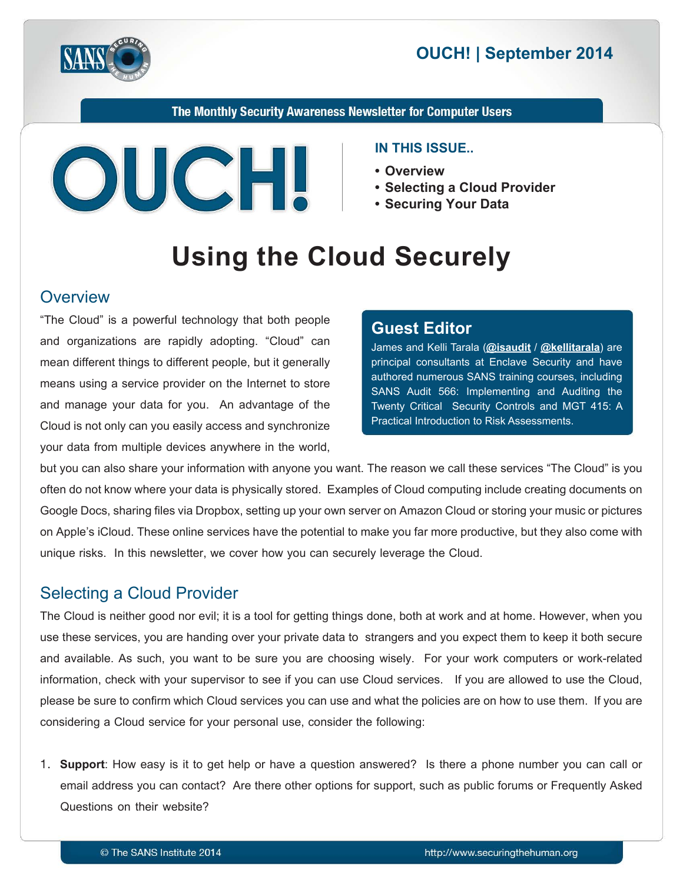

## **2014 OUCH! | September 2014**

The Monthly Security Awareness Newsletter for Computer Users



#### **IN THIS ISSUE..**

- **Overview•**
- Selecting a Cloud Provider
- Securing Your Data

# **Using the Cloud Securely**

#### **Overview**

"The Cloud" is a powerful technology that both people and organizations are rapidly adopting. "Cloud" can mean different things to different people, but it generally means using a service provider on the Internet to store and manage your data for you. An advantage of the Cloud is not only can you easily access and synchronize your data from multiple devices anywhere in the world,

#### **Editor Guest**

James and Kelli Tarala (@isaudit / @[kellitarala](https://twitter.com/KelliTarala)) are principal consultants at Enclave Security and have authored numerous SANS training courses, including SANS Audit 566: Implementing and Auditing the Twenty Critical Security Controls and MGT 415: A Practical Introduction to Risk Assessments.

but you can also share your information with anyone you want. The reason we call these services "The Cloud" is you often do not know where your data is physically stored. Examples of Cloud computing include creating documents on Google Docs, sharing files via Dropbox, setting up your own server on Amazon Cloud or storing your music or pictures on Apple's iCloud. These online services have the potential to make you far more productive, but they also come with unique risks. In this newsletter, we cover how you can securely leverage the Cloud.

### **Selecting a Cloud Provider**

The Cloud is neither good nor evil; it is a tool for getting things done, both at work and at home. However, when you use these services, you are handing over your private data to strangers and you expect them to keep it both secure and available. As such, you want to be sure you are choosing wisely. For your work computers or work-related information, check with your supervisor to see if you can use Cloud services. If you are allowed to use the Cloud, please be sure to confirm which Cloud services you can use and what the policies are on how to use them. If you are considering a Cloud service for your personal use, consider the following:

1. Support: How easy is it to get help or have a question answered? Is there a phone number you can call or email address you can contact? Are there other options for support, such as public forums or Frequently Asked Questions on their website?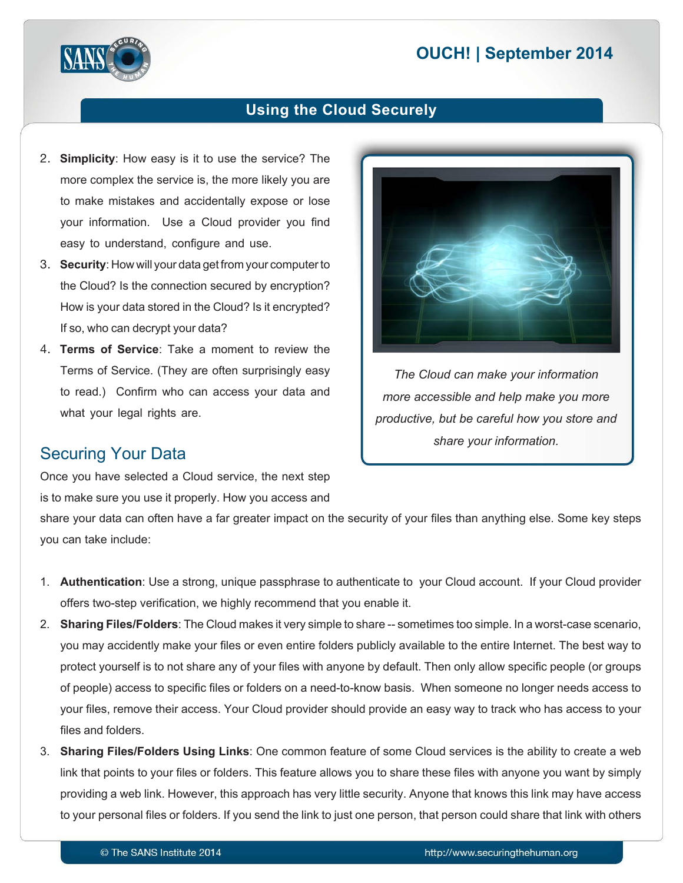# **2014 | OUCH! | September 2014**



### **Using the Cloud Securely**

- 2. **Simplicity**: How easy is it to use the service? The more complex the service is, the more likely you are to make mistakes and accidentally expose or lose your information. Use a Cloud provider you find easy to understand, configure and use.
- 3. **Security:** How will your data get from your computer to the Cloud? Is the connection secured by encryption? How is your data stored in the Cloud? Is it encrypted? If so, who can decrypt your data?
- 4. Terms of Service: Take a moment to review the Terms of Service. (They are often surprisingly easy to read.) Confirm who can access your data and what your legal rights are.

#### **Securing Your Data**

Once you have selected a Cloud service, the next step is to make sure you use it properly. How you access and



*The Cloud can make your information more accessible and help make you more* productive, but be careful how you store and share your information.

share your data can often have a far greater impact on the security of your files than anything else. Some key steps you can take include:

- 1. **Authentication**: Use a strong, unique passphrase to authenticate to your Cloud account. If your Cloud provider offers two-step verification, we highly recommend that you enable it.
- 2. Sharing Files/Folders: The Cloud makes it very simple to share -- sometimes too simple. In a worst-case scenario, you may accidently make your files or even entire folders publicly available to the entire Internet. The best way to protect yourself is to not share any of your files with anyone by default. Then only allow specific people (or groups of people) access to specific files or folders on a need-to-know basis. When someone no longer needs access to your files, remove their access. Your Cloud provider should provide an easy way to track who has access to your files and folders.
- 3. Sharing Files/Folders Using Links: One common feature of some Cloud services is the ability to create a web link that points to your files or folders. This feature allows you to share these files with anyone you want by simply providing a web link. However, this approach has very little security. Anyone that knows this link may have access to your personal files or folders. If you send the link to just one person, that person could share that link with others